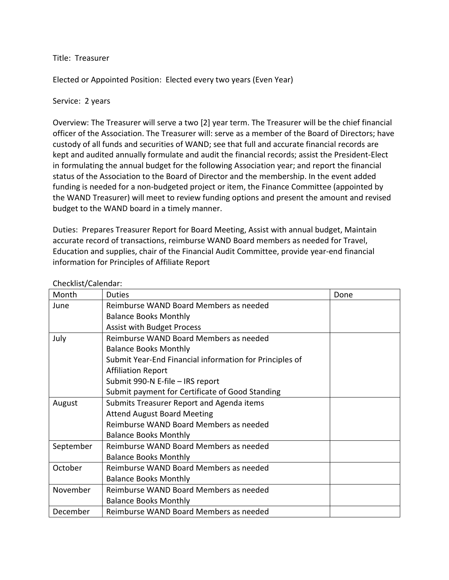## Title: Treasurer

Elected or Appointed Position: Elected every two years (Even Year)

## Service: 2 years

Overview: The Treasurer will serve a two [2] year term. The Treasurer will be the chief financial officer of the Association. The Treasurer will: serve as a member of the Board of Directors; have custody of all funds and securities of WAND; see that full and accurate financial records are kept and audited annually formulate and audit the financial records; assist the President-Elect in formulating the annual budget for the following Association year; and report the financial status of the Association to the Board of Director and the membership. In the event added funding is needed for a non-budgeted project or item, the Finance Committee (appointed by the WAND Treasurer) will meet to review funding options and present the amount and revised budget to the WAND board in a timely manner.

Duties: Prepares Treasurer Report for Board Meeting, Assist with annual budget, Maintain accurate record of transactions, reimburse WAND Board members as needed for Travel, Education and supplies, chair of the Financial Audit Committee, provide year-end financial information for Principles of Affiliate Report

| Month     | <b>Duties</b>                                           | Done |
|-----------|---------------------------------------------------------|------|
| June      | Reimburse WAND Board Members as needed                  |      |
|           | <b>Balance Books Monthly</b>                            |      |
|           | <b>Assist with Budget Process</b>                       |      |
| July      | Reimburse WAND Board Members as needed                  |      |
|           | <b>Balance Books Monthly</b>                            |      |
|           | Submit Year-End Financial information for Principles of |      |
|           | <b>Affiliation Report</b>                               |      |
|           | Submit 990-N E-file - IRS report                        |      |
|           | Submit payment for Certificate of Good Standing         |      |
| August    | Submits Treasurer Report and Agenda items               |      |
|           | <b>Attend August Board Meeting</b>                      |      |
|           | Reimburse WAND Board Members as needed                  |      |
|           | <b>Balance Books Monthly</b>                            |      |
| September | Reimburse WAND Board Members as needed                  |      |
|           | <b>Balance Books Monthly</b>                            |      |
| October   | Reimburse WAND Board Members as needed                  |      |
|           | <b>Balance Books Monthly</b>                            |      |
| November  | Reimburse WAND Board Members as needed                  |      |
|           | <b>Balance Books Monthly</b>                            |      |
| December  | Reimburse WAND Board Members as needed                  |      |

Checklist/Calendar: